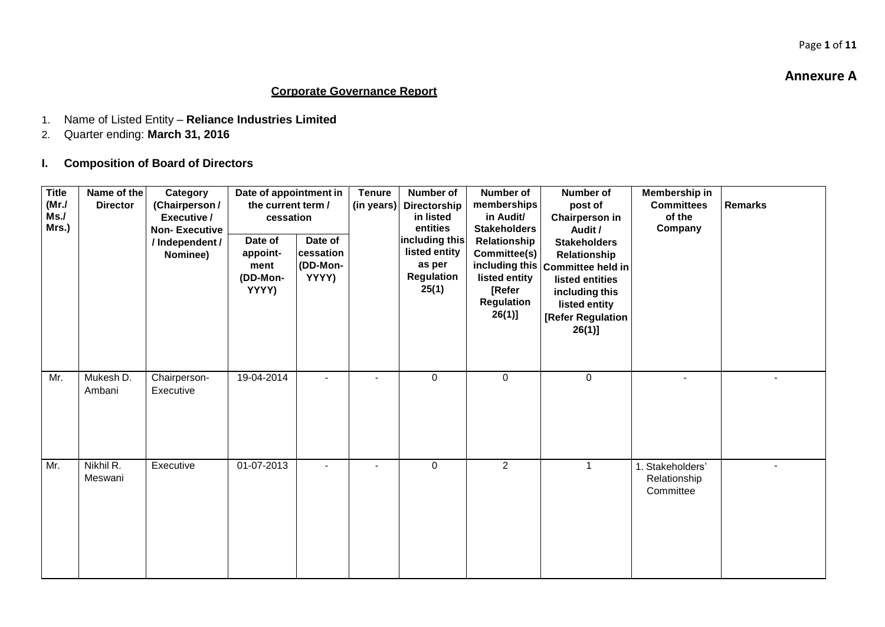#### **Annexure A**

Page **1** of **11**

### **Corporate Governance Report**

- 1. Name of Listed Entity **Reliance Industries Limited**
- 2. Quarter ending: **March 31, 2016**
- **I. Composition of Board of Directors**

| <b>Title</b><br>(MrJ)<br>Ms.<br>Mrs.) | Name of the<br><b>Director</b> | Category<br>(Chairperson/<br>Executive /<br><b>Non-Executive</b><br>/ Independent /<br>Nominee) | Date of appointment in<br>the current term /<br>cessation<br>Date of<br>appoint-<br>ment<br>(DD-Mon-<br>YYYY) | Date of<br>cessation<br>(DD-Mon-<br>YYYY) | <b>Tenure</b><br>(in years) | Number of<br><b>Directorship</b><br>in listed<br>entities<br>including this<br>listed entity<br>as per<br>Regulation<br>25(1) | Number of<br>memberships<br>in Audit/<br><b>Stakeholders</b><br>Relationship<br>Committee(s)<br>listed entity<br>[Refer<br>Regulation<br>$26(1)$ ] | <b>Number of</b><br>post of<br><b>Chairperson in</b><br>Audit /<br><b>Stakeholders</b><br>Relationship<br>including this Committee held in<br>listed entities<br>including this<br>listed entity<br>[Refer Regulation<br>$26(1)$ ] | Membership in<br><b>Committees</b><br>of the<br>Company | <b>Remarks</b> |
|---------------------------------------|--------------------------------|-------------------------------------------------------------------------------------------------|---------------------------------------------------------------------------------------------------------------|-------------------------------------------|-----------------------------|-------------------------------------------------------------------------------------------------------------------------------|----------------------------------------------------------------------------------------------------------------------------------------------------|------------------------------------------------------------------------------------------------------------------------------------------------------------------------------------------------------------------------------------|---------------------------------------------------------|----------------|
| Mr.                                   | Mukesh D.<br>Ambani            | Chairperson-<br>Executive                                                                       | 19-04-2014                                                                                                    | $\blacksquare$                            | $\overline{a}$              | 0                                                                                                                             | $\mathbf 0$                                                                                                                                        | $\mathbf 0$                                                                                                                                                                                                                        | $\blacksquare$                                          |                |
| Mr.                                   | Nikhil R.<br>Meswani           | Executive                                                                                       | 01-07-2013                                                                                                    |                                           |                             | 0                                                                                                                             | $\overline{2}$                                                                                                                                     | $\mathbf 1$                                                                                                                                                                                                                        | 1. Stakeholders'<br>Relationship<br>Committee           |                |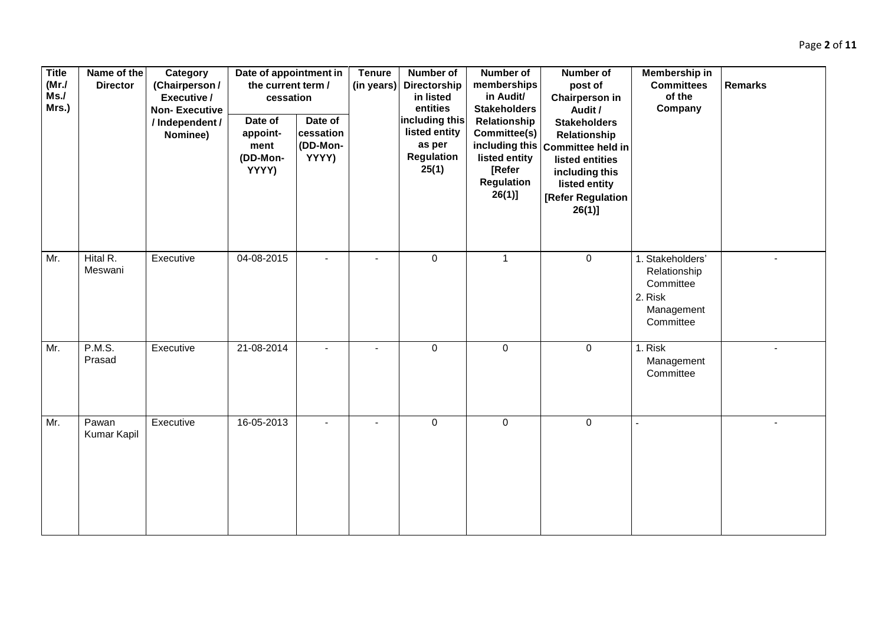| <b>Title</b><br>(MrJ)<br>Ms.<br>Mrs.) | Name of the<br><b>Director</b>    | Category<br>(Chairperson/<br>Executive /<br><b>Non-Executive</b><br>/ Independent /<br>Nominee) | Date of appointment in<br>the current term /<br>cessation<br>Date of<br>appoint-<br>ment<br>(DD-Mon-<br>YYYY) | Date of<br>cessation<br>(DD-Mon-<br>YYYY) | <b>Tenure</b><br>(in years) | Number of<br>Directorship<br>in listed<br>entities<br>including this<br>listed entity<br>as per<br><b>Regulation</b><br>25(1) | <b>Number of</b><br>memberships<br>in Audit/<br><b>Stakeholders</b><br>Relationship<br>Committee(s)<br>listed entity<br>[Refer<br>Regulation<br>$26(1)$ ] | <b>Number of</b><br>post of<br><b>Chairperson in</b><br>Audit /<br><b>Stakeholders</b><br>Relationship<br>including this Committee held in<br>listed entities<br>including this<br>listed entity<br>[Refer Regulation<br>$26(1)$ ] | Membership in<br><b>Committees</b><br>of the<br>Company                             | <b>Remarks</b> |
|---------------------------------------|-----------------------------------|-------------------------------------------------------------------------------------------------|---------------------------------------------------------------------------------------------------------------|-------------------------------------------|-----------------------------|-------------------------------------------------------------------------------------------------------------------------------|-----------------------------------------------------------------------------------------------------------------------------------------------------------|------------------------------------------------------------------------------------------------------------------------------------------------------------------------------------------------------------------------------------|-------------------------------------------------------------------------------------|----------------|
| Mr.                                   | Hital $\overline{R}$ .<br>Meswani | Executive                                                                                       | 04-08-2015                                                                                                    |                                           |                             | $\boldsymbol{0}$                                                                                                              | $\mathbf{1}$                                                                                                                                              | $\mathbf 0$                                                                                                                                                                                                                        | 1. Stakeholders'<br>Relationship<br>Committee<br>2. Risk<br>Management<br>Committee |                |
| Mr.                                   | P.M.S.<br>Prasad                  | Executive                                                                                       | 21-08-2014                                                                                                    |                                           |                             | $\mathbf 0$                                                                                                                   | $\mathbf 0$                                                                                                                                               | $\mathbf 0$                                                                                                                                                                                                                        | 1. Risk<br>Management<br>Committee                                                  | $\blacksquare$ |
| Mr.                                   | Pawan<br>Kumar Kapil              | Executive                                                                                       | 16-05-2013                                                                                                    |                                           |                             | $\pmb{0}$                                                                                                                     | $\pmb{0}$                                                                                                                                                 | $\mathsf 0$                                                                                                                                                                                                                        |                                                                                     |                |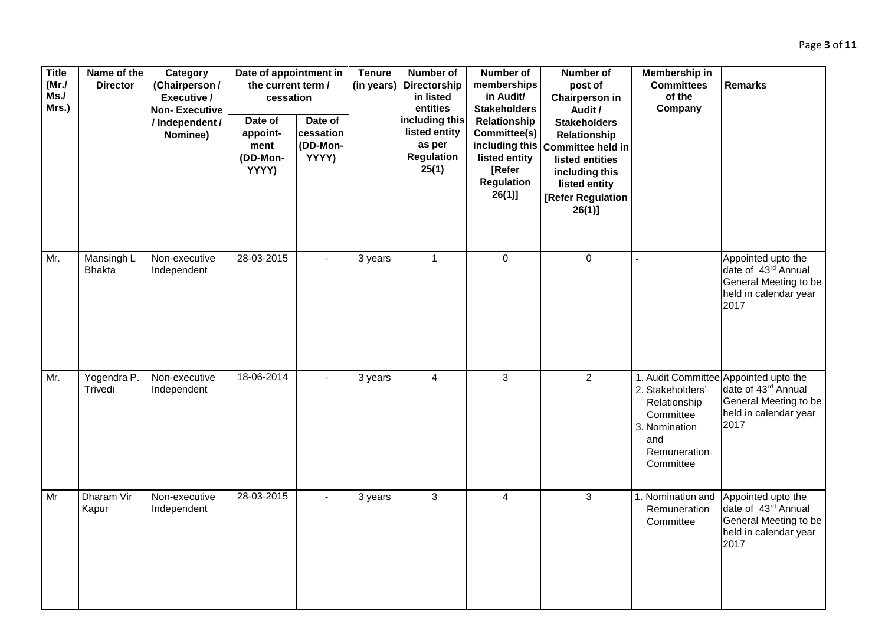| <b>Title</b><br>(MrJ)<br>Ms.<br>Mrs.) | Name of the<br><b>Director</b> | Category<br>(Chairperson/<br>Executive /<br><b>Non-Executive</b><br>/ Independent /<br>Nominee) | Date of appointment in<br>the current term /<br>cessation<br>Date of<br>appoint-<br>ment<br>(DD-Mon-<br>YYYY) | Date of<br>cessation<br>(DD-Mon-<br>YYYY) | <b>Tenure</b><br>(in years) | Number of<br>Directorship<br>in listed<br>entities<br>including this<br>listed entity<br>as per<br><b>Regulation</b><br>25(1) | Number of<br>memberships<br>in Audit/<br><b>Stakeholders</b><br>Relationship<br>Committee(s)<br>listed entity<br>[Refer<br><b>Regulation</b><br>$26(1)$ ] | Number of<br>post of<br><b>Chairperson in</b><br>Audit /<br><b>Stakeholders</b><br>Relationship<br>including this Committee held in<br>listed entities<br>including this<br>listed entity<br>[Refer Regulation<br>$26(1)$ ] | Membership in<br><b>Committees</b><br>of the<br>Company                                            | <b>Remarks</b>                                                                                                         |
|---------------------------------------|--------------------------------|-------------------------------------------------------------------------------------------------|---------------------------------------------------------------------------------------------------------------|-------------------------------------------|-----------------------------|-------------------------------------------------------------------------------------------------------------------------------|-----------------------------------------------------------------------------------------------------------------------------------------------------------|-----------------------------------------------------------------------------------------------------------------------------------------------------------------------------------------------------------------------------|----------------------------------------------------------------------------------------------------|------------------------------------------------------------------------------------------------------------------------|
| Mr.                                   | Mansingh L<br><b>Bhakta</b>    | Non-executive<br>Independent                                                                    | 28-03-2015                                                                                                    |                                           | 3 years                     | $\mathbf{1}$                                                                                                                  | $\pmb{0}$                                                                                                                                                 | $\mathbf 0$                                                                                                                                                                                                                 |                                                                                                    | Appointed upto the<br>date of 43rd Annual<br>General Meeting to be<br>held in calendar year<br>2017                    |
| Mr.                                   | Yogendra P.<br>Trivedi         | Non-executive<br>Independent                                                                    | 18-06-2014                                                                                                    | $\blacksquare$                            | 3 years                     | $\overline{4}$                                                                                                                | $\mathfrak{S}$                                                                                                                                            | $\overline{2}$                                                                                                                                                                                                              | 2. Stakeholders'<br>Relationship<br>Committee<br>3. Nomination<br>and<br>Remuneration<br>Committee | 1. Audit Committee Appointed upto the<br>date of 43rd Annual<br>General Meeting to be<br>held in calendar year<br>2017 |
| Mr                                    | Dharam Vir<br>Kapur            | Non-executive<br>Independent                                                                    | 28-03-2015                                                                                                    |                                           | 3 years                     | $\sqrt{3}$                                                                                                                    | $\overline{\mathbf{4}}$                                                                                                                                   | 3                                                                                                                                                                                                                           | 1. Nomination and<br>Remuneration<br>Committee                                                     | Appointed upto the<br>date of 43rd Annual<br>General Meeting to be<br>held in calendar year<br>2017                    |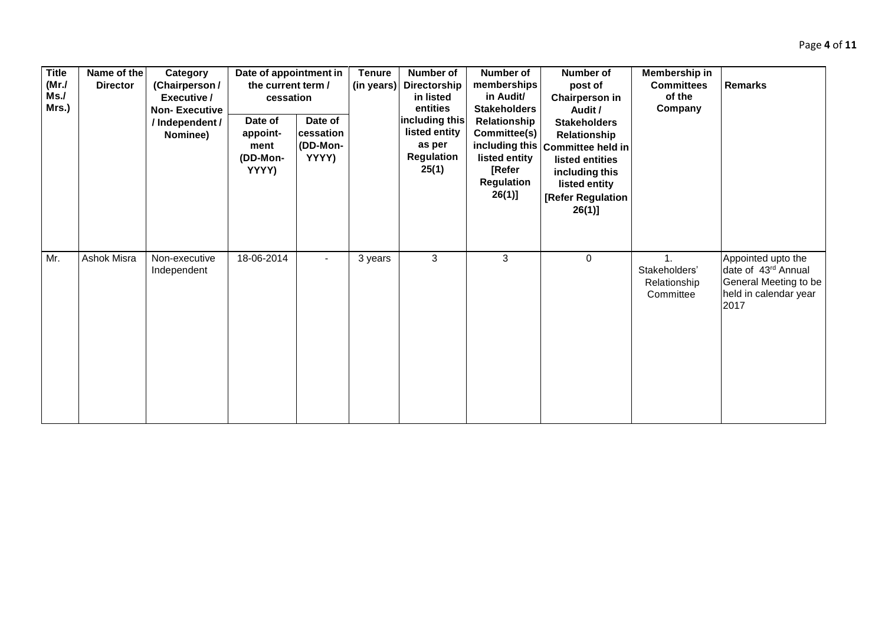| <b>Title</b><br>(MrJ)<br>Ms.<br>Mrs.) | Name of the<br><b>Director</b> | Category<br>(Chairperson/<br>Executive /<br><b>Non-Executive</b><br>/Independent /<br>Nominee) | Date of appointment in<br>the current term /<br>cessation<br>Date of<br>appoint-<br>ment<br>(DD-Mon-<br>YYYY) | Date of<br>cessation<br>(DD-Mon-<br>YYYY) | <b>Tenure</b><br>(in years) | Number of<br>Directorship<br>in listed<br>entities<br>including this<br>listed entity<br>as per<br><b>Regulation</b><br>25(1) | Number of<br>memberships<br>in Audit/<br><b>Stakeholders</b><br>Relationship<br>Committee(s)<br>listed entity<br><b>[Refer</b><br>Regulation<br>$26(1)$ ] | Number of<br>post of<br><b>Chairperson in</b><br>Audit /<br><b>Stakeholders</b><br>Relationship<br>including this Committee held in<br>listed entities<br>including this<br>listed entity<br>[Refer Regulation<br>26(1)] | Membership in<br><b>Committees</b><br>of the<br>Company    | <b>Remarks</b>                                                                                      |
|---------------------------------------|--------------------------------|------------------------------------------------------------------------------------------------|---------------------------------------------------------------------------------------------------------------|-------------------------------------------|-----------------------------|-------------------------------------------------------------------------------------------------------------------------------|-----------------------------------------------------------------------------------------------------------------------------------------------------------|--------------------------------------------------------------------------------------------------------------------------------------------------------------------------------------------------------------------------|------------------------------------------------------------|-----------------------------------------------------------------------------------------------------|
| Mr.                                   | Ashok Misra                    | Non-executive<br>Independent                                                                   | 18-06-2014                                                                                                    |                                           | 3 years                     | 3                                                                                                                             | 3                                                                                                                                                         | $\pmb{0}$                                                                                                                                                                                                                | $\mathbf{1}$<br>Stakeholders'<br>Relationship<br>Committee | Appointed upto the<br>date of 43rd Annual<br>General Meeting to be<br>held in calendar year<br>2017 |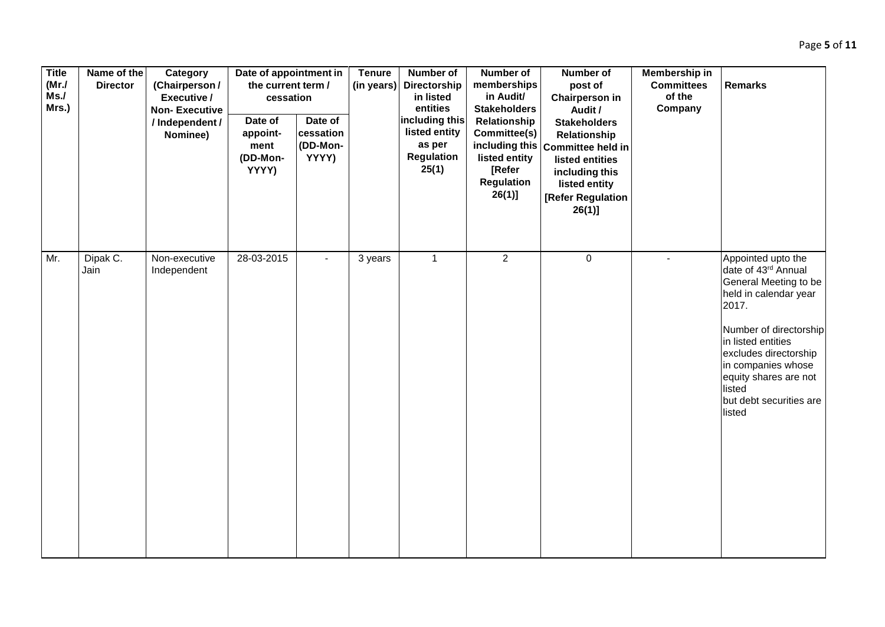| <b>Title</b><br>(MrJ)<br>Ms.<br>Mrs.) | Name of the<br><b>Director</b> | Category<br>(Chairperson/<br>Executive /<br><b>Non-Executive</b><br>/ Independent /<br>Nominee) | Date of appointment in<br>the current term /<br>cessation<br>Date of<br>appoint-<br>ment<br>(DD-Mon-<br>YYYY) | Date of<br>cessation<br>(DD-Mon-<br>YYYY) | <b>Tenure</b><br>(in years) | Number of<br>Directorship<br>in listed<br>entities<br>including this<br>listed entity<br>as per<br><b>Regulation</b><br>25(1) | Number of<br>memberships<br>in Audit/<br><b>Stakeholders</b><br>Relationship<br>Committee(s)<br>including this<br>listed entity<br>[Refer<br><b>Regulation</b><br>$26(1)$ ] | Number of<br>post of<br><b>Chairperson in</b><br>Audit /<br><b>Stakeholders</b><br>Relationship<br>Committee held in<br>listed entities<br>including this<br>listed entity<br>[Refer Regulation | Membership in<br><b>Committees</b><br>of the<br>Company | <b>Remarks</b>                                                                                                                                                                                                                                                              |
|---------------------------------------|--------------------------------|-------------------------------------------------------------------------------------------------|---------------------------------------------------------------------------------------------------------------|-------------------------------------------|-----------------------------|-------------------------------------------------------------------------------------------------------------------------------|-----------------------------------------------------------------------------------------------------------------------------------------------------------------------------|-------------------------------------------------------------------------------------------------------------------------------------------------------------------------------------------------|---------------------------------------------------------|-----------------------------------------------------------------------------------------------------------------------------------------------------------------------------------------------------------------------------------------------------------------------------|
|                                       |                                |                                                                                                 |                                                                                                               |                                           |                             |                                                                                                                               |                                                                                                                                                                             | $26(1)$ ]                                                                                                                                                                                       |                                                         |                                                                                                                                                                                                                                                                             |
| Mr.                                   | Dipak C.<br>Jain               | Non-executive<br>Independent                                                                    | 28-03-2015                                                                                                    | $\blacksquare$                            | 3 years                     | $\mathbf{1}$                                                                                                                  | $\overline{2}$                                                                                                                                                              | $\mathbf 0$                                                                                                                                                                                     |                                                         | Appointed upto the<br>date of 43rd Annual<br>General Meeting to be<br>held in calendar year<br>2017.<br>Number of directorship<br>in listed entities<br>excludes directorship<br>in companies whose<br>equity shares are not<br>listed<br>but debt securities are<br>listed |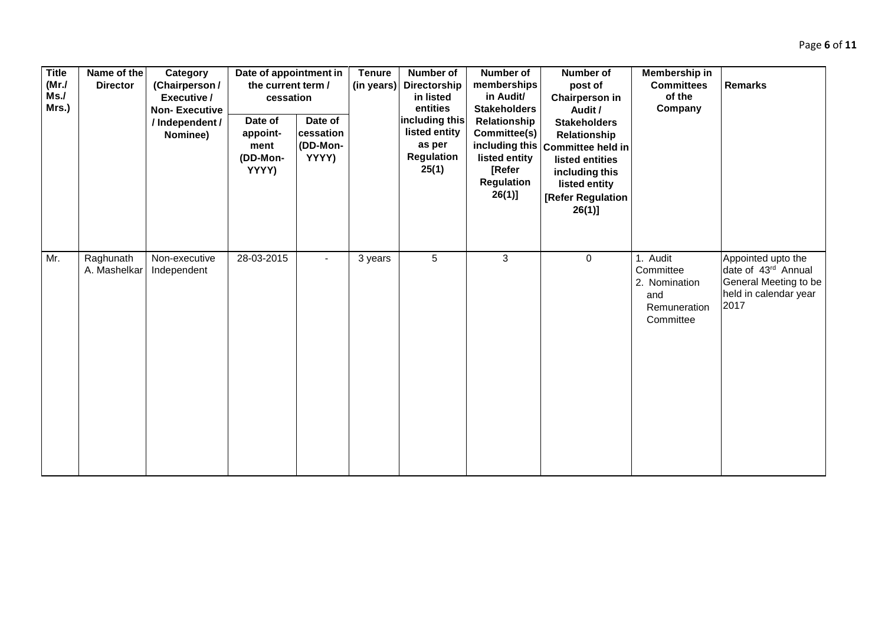| <b>Title</b><br>(MrJ)<br>Ms.<br>Mrs.) | Name of the<br><b>Director</b> | Category<br>(Chairperson/<br>Executive /<br><b>Non-Executive</b><br>/ Independent /<br>Nominee) | Date of appointment in<br>the current term /<br>cessation<br>Date of<br>appoint-<br>ment<br>(DD-Mon-<br>YYYY) | Date of<br>cessation<br>(DD-Mon-<br>YYYY) | <b>Tenure</b><br>(in years) | <b>Number of</b><br>Directorship<br>in listed<br>entities<br>including this<br>listed entity<br>as per<br><b>Regulation</b><br>25(1) | Number of<br>memberships<br>in Audit/<br><b>Stakeholders</b><br>Relationship<br>Committee(s)<br>listed entity<br><b>[Refer</b><br><b>Regulation</b><br>$26(1)$ ] | <b>Number of</b><br>post of<br><b>Chairperson in</b><br>Audit /<br><b>Stakeholders</b><br>Relationship<br>including this Committee held in<br>listed entities<br>including this<br>listed entity<br>[Refer Regulation<br>$26(1)$ ] | Membership in<br><b>Committees</b><br>of the<br>Company                    | <b>Remarks</b>                                                                                      |
|---------------------------------------|--------------------------------|-------------------------------------------------------------------------------------------------|---------------------------------------------------------------------------------------------------------------|-------------------------------------------|-----------------------------|--------------------------------------------------------------------------------------------------------------------------------------|------------------------------------------------------------------------------------------------------------------------------------------------------------------|------------------------------------------------------------------------------------------------------------------------------------------------------------------------------------------------------------------------------------|----------------------------------------------------------------------------|-----------------------------------------------------------------------------------------------------|
| Mr.                                   | Raghunath<br>A. Mashelkar      | Non-executive<br>Independent                                                                    | 28-03-2015                                                                                                    |                                           | 3 years                     | 5                                                                                                                                    | 3                                                                                                                                                                | 0                                                                                                                                                                                                                                  | 1. Audit<br>Committee<br>2. Nomination<br>and<br>Remuneration<br>Committee | Appointed upto the<br>date of 43rd Annual<br>General Meeting to be<br>held in calendar year<br>2017 |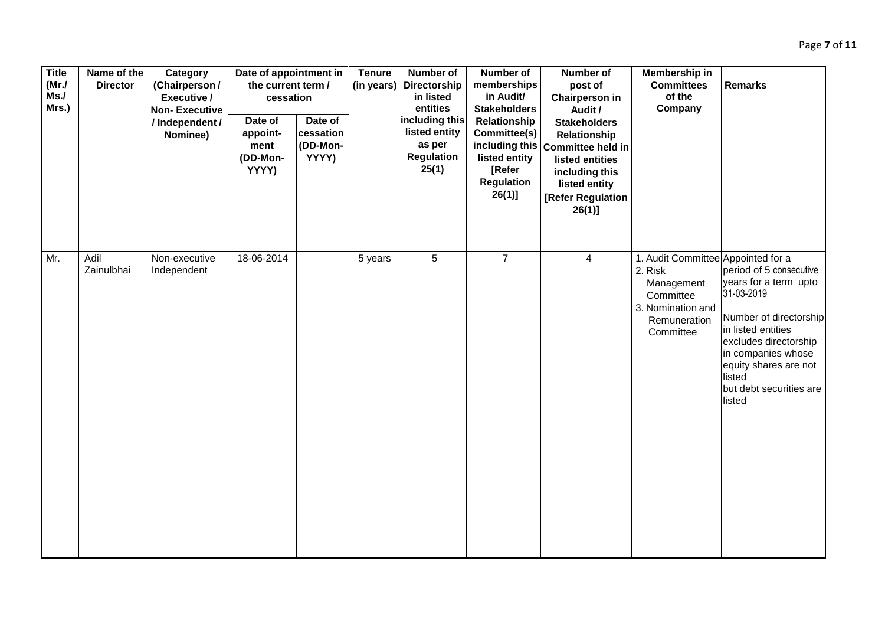| <b>Title</b><br>(MrJ)<br>Ms.<br>Mrs.) | Name of the<br><b>Director</b> | Category<br>(Chairperson/<br>Executive /<br><b>Non-Executive</b><br>/ Independent /<br>Nominee) | Date of appointment in<br>the current term /<br>cessation<br>Date of<br>appoint-<br>ment<br>(DD-Mon-<br>YYYY) | Date of<br>cessation<br>(DD-Mon-<br>YYYY) | <b>Tenure</b><br>(in years) | Number of<br>Directorship<br>in listed<br>entities<br>including this<br>listed entity<br>as per<br><b>Regulation</b><br>25(1) | Number of<br>memberships<br>in Audit/<br><b>Stakeholders</b><br>Relationship<br>Committee(s)<br>including this<br>listed entity<br>[Refer<br><b>Regulation</b><br>$26(1)$ ] | Number of<br>post of<br><b>Chairperson in</b><br>Audit /<br><b>Stakeholders</b><br>Relationship<br>Committee held in<br>listed entities<br>including this<br>listed entity<br>[Refer Regulation<br>$26(1)$ ] | Membership in<br><b>Committees</b><br>of the<br>Company                                                                    | <b>Remarks</b>                                                                                                                                                                                                                        |
|---------------------------------------|--------------------------------|-------------------------------------------------------------------------------------------------|---------------------------------------------------------------------------------------------------------------|-------------------------------------------|-----------------------------|-------------------------------------------------------------------------------------------------------------------------------|-----------------------------------------------------------------------------------------------------------------------------------------------------------------------------|--------------------------------------------------------------------------------------------------------------------------------------------------------------------------------------------------------------|----------------------------------------------------------------------------------------------------------------------------|---------------------------------------------------------------------------------------------------------------------------------------------------------------------------------------------------------------------------------------|
| Mr.                                   | Adil<br>Zainulbhai             | Non-executive<br>Independent                                                                    | 18-06-2014                                                                                                    |                                           | 5 years                     | $5\phantom{.0}$                                                                                                               | $\overline{7}$                                                                                                                                                              | $\overline{4}$                                                                                                                                                                                               | 1. Audit Committee Appointed for a<br>2. Risk<br>Management<br>Committee<br>3. Nomination and<br>Remuneration<br>Committee | period of 5 consecutive<br>years for a term upto<br>31-03-2019<br>Number of directorship<br>in listed entities<br>excludes directorship<br>in companies whose<br>equity shares are not<br>listed<br>but debt securities are<br>listed |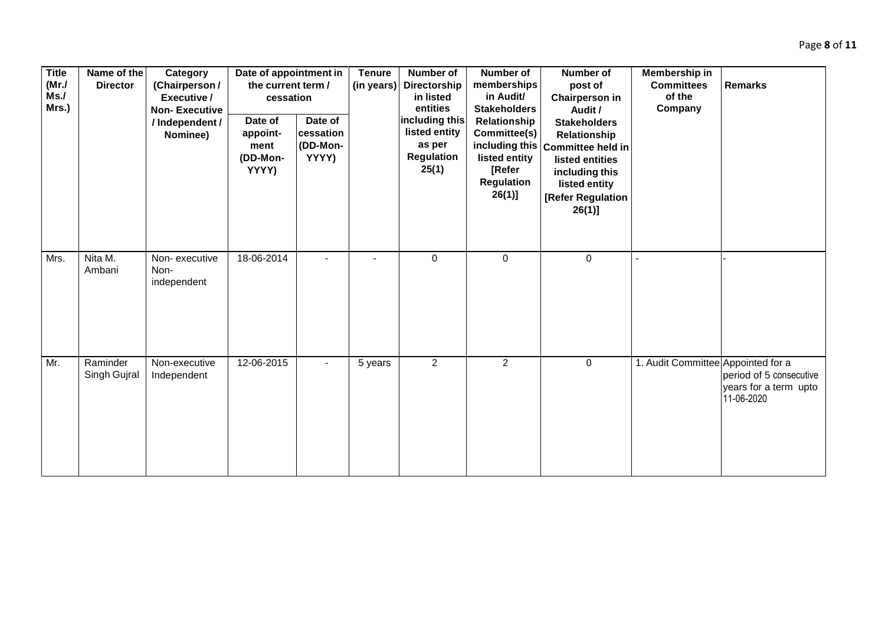| <b>Title</b><br>(MrJ)<br>Ms.<br>Mrs.) | Name of the<br><b>Director</b> | Category<br>(Chairperson/<br>Executive /<br><b>Non-Executive</b><br>/ Independent /<br>Nominee) | Date of appointment in<br>the current term /<br>cessation<br>Date of<br>appoint-<br>ment<br>(DD-Mon-<br>YYYY) | Date of<br>cessation<br>(DD-Mon-<br>YYYY) | <b>Tenure</b><br>(in years) | <b>Number of</b><br>Directorship<br>in listed<br>entities<br>including this<br>listed entity<br>as per<br><b>Regulation</b><br>25(1) | <b>Number of</b><br>memberships<br>in Audit/<br><b>Stakeholders</b><br>Relationship<br>Committee(s)<br>listed entity<br>[Refer<br><b>Regulation</b><br>$26(1)$ ] | <b>Number of</b><br>post of<br><b>Chairperson in</b><br>Audit /<br><b>Stakeholders</b><br>Relationship<br>including this Committee held in<br>listed entities<br>including this<br>listed entity<br>[Refer Regulation<br>26(1)] | Membership in<br><b>Committees</b><br>of the<br>Company | <b>Remarks</b>                                                 |
|---------------------------------------|--------------------------------|-------------------------------------------------------------------------------------------------|---------------------------------------------------------------------------------------------------------------|-------------------------------------------|-----------------------------|--------------------------------------------------------------------------------------------------------------------------------------|------------------------------------------------------------------------------------------------------------------------------------------------------------------|---------------------------------------------------------------------------------------------------------------------------------------------------------------------------------------------------------------------------------|---------------------------------------------------------|----------------------------------------------------------------|
| Mrs.                                  | Nita M.<br>Ambani              | Non-executive<br>Non-<br>independent                                                            | 18-06-2014                                                                                                    |                                           |                             | $\mathbf 0$                                                                                                                          | $\mathbf 0$                                                                                                                                                      | $\mathbf 0$                                                                                                                                                                                                                     |                                                         |                                                                |
| Mr.                                   | Raminder<br>Singh Gujral       | Non-executive<br>Independent                                                                    | 12-06-2015                                                                                                    | $\blacksquare$                            | 5 years                     | $\overline{2}$                                                                                                                       | $\overline{2}$                                                                                                                                                   | $\mathbf 0$                                                                                                                                                                                                                     | 1. Audit Committee Appointed for a                      | period of 5 consecutive<br>years for a term upto<br>11-06-2020 |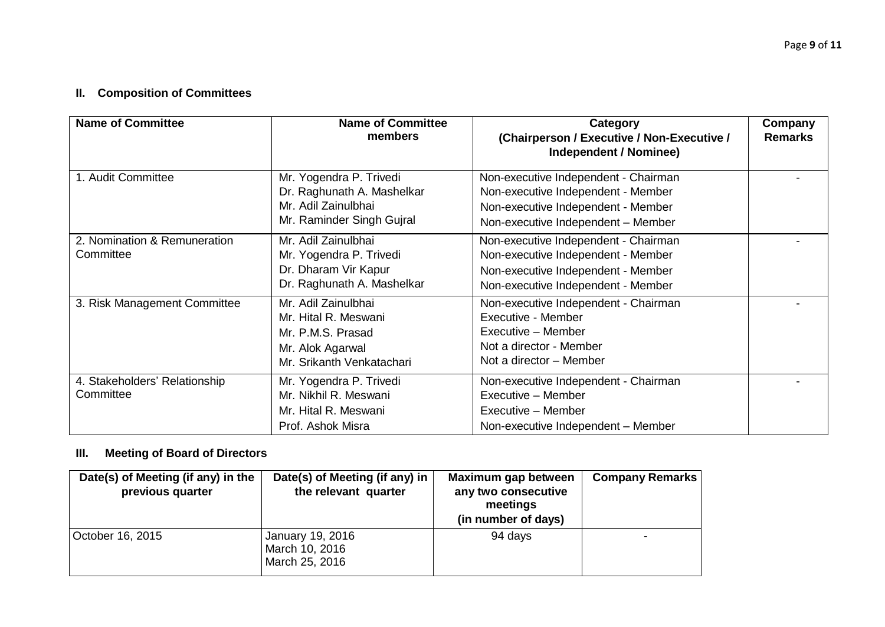# **II. Composition of Committees**

| <b>Name of Committee</b>                   | <b>Name of Committee</b><br>members                                                                               | Category<br>(Chairperson / Executive / Non-Executive /<br>Independent / Nominee)                                                                       | Company<br><b>Remarks</b> |
|--------------------------------------------|-------------------------------------------------------------------------------------------------------------------|--------------------------------------------------------------------------------------------------------------------------------------------------------|---------------------------|
| 1. Audit Committee                         | Mr. Yogendra P. Trivedi<br>Dr. Raghunath A. Mashelkar<br>Mr. Adil Zainulbhai<br>Mr. Raminder Singh Gujral         | Non-executive Independent - Chairman<br>Non-executive Independent - Member<br>Non-executive Independent - Member<br>Non-executive Independent - Member |                           |
| 2. Nomination & Remuneration<br>Committee  | Mr. Adil Zainulbhai<br>Mr. Yogendra P. Trivedi<br>Dr. Dharam Vir Kapur<br>Dr. Raghunath A. Mashelkar              | Non-executive Independent - Chairman<br>Non-executive Independent - Member<br>Non-executive Independent - Member<br>Non-executive Independent - Member |                           |
| 3. Risk Management Committee               | Mr. Adil Zainulbhai<br>Mr. Hital R. Meswani<br>Mr. P.M.S. Prasad<br>Mr. Alok Agarwal<br>Mr. Srikanth Venkatachari | Non-executive Independent - Chairman<br>Executive - Member<br>Executive - Member<br>Not a director - Member<br>Not a director - Member                 |                           |
| 4. Stakeholders' Relationship<br>Committee | Mr. Yogendra P. Trivedi<br>Mr. Nikhil R. Meswani<br>Mr. Hital R. Meswani<br>Prof. Ashok Misra                     | Non-executive Independent - Chairman<br>Executive - Member<br>Executive - Member<br>Non-executive Independent - Member                                 |                           |

## **III. Meeting of Board of Directors**

| Date(s) of Meeting (if any) in the<br>previous quarter | Date(s) of Meeting (if any) in $ $<br>the relevant quarter | Maximum gap between<br>any two consecutive<br>meetings<br>(in number of days) | <b>Company Remarks</b> |
|--------------------------------------------------------|------------------------------------------------------------|-------------------------------------------------------------------------------|------------------------|
| October 16, 2015                                       | January 19, 2016<br>March 10, 2016<br>March 25, 2016       | 94 days                                                                       |                        |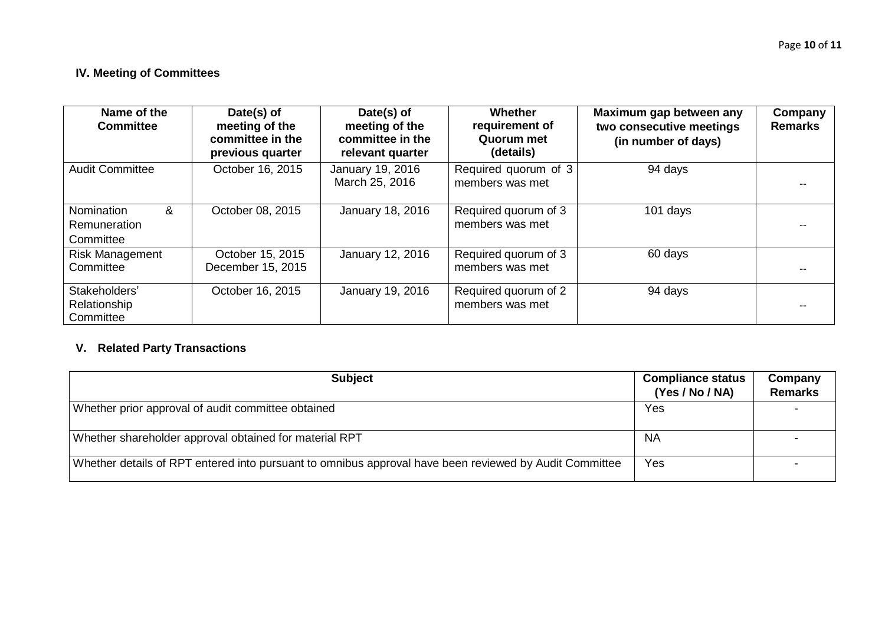## **IV. Meeting of Committees**

| Name of the<br><b>Committee</b>                     | Date(s) of<br>meeting of the<br>committee in the<br>previous quarter | Date(s) of<br>meeting of the<br>committee in the<br>relevant quarter | Whether<br>requirement of<br>Quorum met<br>(details) | Maximum gap between any<br>two consecutive meetings<br>(in number of days) | Company<br><b>Remarks</b> |
|-----------------------------------------------------|----------------------------------------------------------------------|----------------------------------------------------------------------|------------------------------------------------------|----------------------------------------------------------------------------|---------------------------|
| <b>Audit Committee</b>                              | October 16, 2015                                                     | January 19, 2016<br>March 25, 2016                                   | Required quorum of 3<br>members was met              | 94 days                                                                    |                           |
| Nomination<br>&<br><b>Remuneration</b><br>Committee | October 08, 2015                                                     | January 18, 2016                                                     | Required quorum of 3<br>members was met              | 101 days                                                                   |                           |
| <b>Risk Management</b><br>Committee                 | October 15, 2015<br>December 15, 2015                                | January 12, 2016                                                     | Required quorum of 3<br>members was met              | 60 days                                                                    |                           |
| Stakeholders'<br>Relationship<br>Committee          | October 16, 2015                                                     | January 19, 2016                                                     | Required quorum of 2<br>members was met              | 94 days                                                                    |                           |

# **V. Related Party Transactions**

| <b>Subject</b>                                                                                         | <b>Compliance status</b><br>(Yes / No / NA) | Company<br><b>Remarks</b> |
|--------------------------------------------------------------------------------------------------------|---------------------------------------------|---------------------------|
| Whether prior approval of audit committee obtained                                                     | Yes                                         |                           |
| Whether shareholder approval obtained for material RPT                                                 | <b>NA</b>                                   |                           |
| Whether details of RPT entered into pursuant to omnibus approval have been reviewed by Audit Committee | Yes                                         |                           |